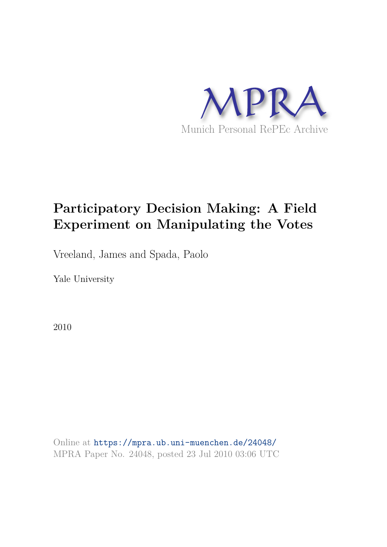

# **Participatory Decision Making: A Field Experiment on Manipulating the Votes**

Vreeland, James and Spada, Paolo

Yale University

2010

Online at https://mpra.ub.uni-muenchen.de/24048/ MPRA Paper No. 24048, posted 23 Jul 2010 03:06 UTC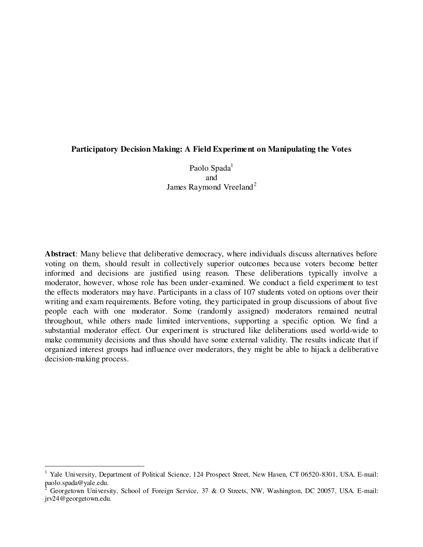# **Participatory Decision Making: A Field Experiment on Manipulating the Votes**

Paolo Spada<sup>1</sup> and James Raymond Vreeland<sup>2</sup>

**Abstract**: Many believe that deliberative democracy, where individuals discuss alternatives before voting on them, should result in collectively superior outcomes because voters become better informed and decisions are justified using reason. These deliberations typically involve a moderator, however, whose role has been under-examined. We conduct a field experiment to test the effects moderators may have. Participants in a class of 107 students voted on options over their writing and exam requirements. Before voting, they participated in group discussions of about five people each with one moderator. Some (randomly assigned) moderators remained neutral throughout, while others made limited interventions, supporting a specific option. We find a substantial moderator effect. Our experiment is structured like deliberations used world-wide to make community decisions and thus should have some external validity. The results indicate that if organized interest groups had influence over moderators, they might be able to hijack a deliberative decision-making process.

 $\overline{a}$ 

<sup>1</sup> Yale University, Department of Political Science, 124 Prospect Street, New Haven, CT 06520-8301, USA. E-mail: paolo.spada@yale.edu.

 $\overline{2}$  Georgetown University, School of Foreign Service, 37 & O Streets, NW, Washington, DC 20057, USA. E-mail: jrv24@georgetown.edu.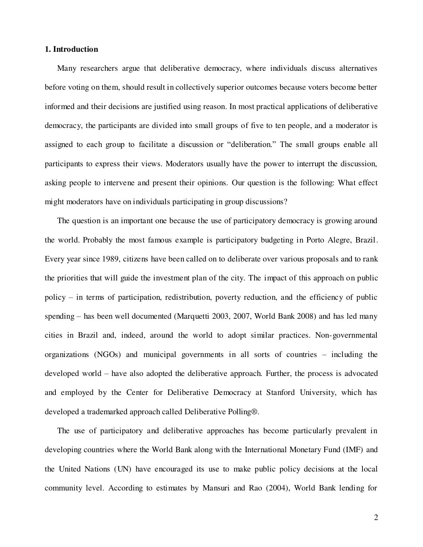# **1. Introduction**

Many researchers argue that deliberative democracy, where individuals discuss alternatives before voting on them, should result in collectively superior outcomes because voters become better informed and their decisions are justified using reason. In most practical applications of deliberative democracy, the participants are divided into small groups of five to ten people, and a moderator is assigned to each group to facilitate a discussion or "deliberation." The small groups enable all participants to express their views. Moderators usually have the power to interrupt the discussion, asking people to intervene and present their opinions. Our question is the following: What effect might moderators have on individuals participating in group discussions?

The question is an important one because the use of participatory democracy is growing around the world. Probably the most famous example is participatory budgeting in Porto Alegre, Brazil. Every year since 1989, citizens have been called on to deliberate over various proposals and to rank the priorities that will guide the investment plan of the city. The impact of this approach on public policy – in terms of participation, redistribution, poverty reduction, and the efficiency of public spending – has been well documented (Marquetti 2003, 2007, World Bank 2008) and has led many cities in Brazil and, indeed, around the world to adopt similar practices. Non-governmental organizations (NGOs) and municipal governments in all sorts of countries – including the developed world – have also adopted the deliberative approach. Further, the process is advocated and employed by the Center for Deliberative Democracy at Stanford University, which has developed a trademarked approach called Deliberative Polling®.

The use of participatory and deliberative approaches has become particularly prevalent in developing countries where the World Bank along with the International Monetary Fund (IMF) and the United Nations (UN) have encouraged its use to make public policy decisions at the local community level. According to estimates by Mansuri and Rao (2004), World Bank lending for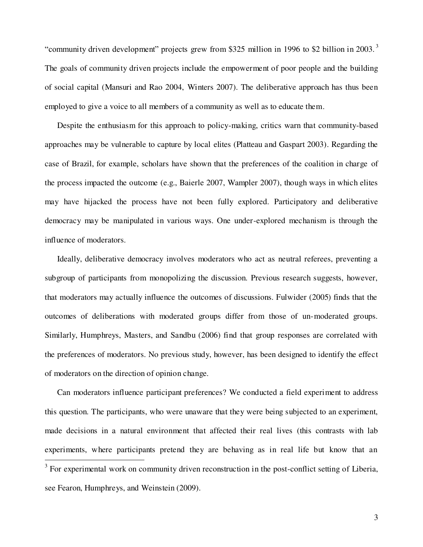"community driven development" projects grew from \$325 million in 1996 to \$2 billion in 2003.<sup>3</sup> The goals of community driven projects include the empowerment of poor people and the building of social capital (Mansuri and Rao 2004, Winters 2007). The deliberative approach has thus been employed to give a voice to all members of a community as well as to educate them.

Despite the enthusiasm for this approach to policy-making, critics warn that community-based approaches may be vulnerable to capture by local elites (Platteau and Gaspart 2003). Regarding the case of Brazil, for example, scholars have shown that the preferences of the coalition in charge of the process impacted the outcome (e.g., Baierle 2007, Wampler 2007), though ways in which elites may have hijacked the process have not been fully explored. Participatory and deliberative democracy may be manipulated in various ways. One under-explored mechanism is through the influence of moderators.

Ideally, deliberative democracy involves moderators who act as neutral referees, preventing a subgroup of participants from monopolizing the discussion. Previous research suggests, however, that moderators may actually influence the outcomes of discussions. Fulwider (2005) finds that the outcomes of deliberations with moderated groups differ from those of un-moderated groups. Similarly, Humphreys, Masters, and Sandbu (2006) find that group responses are correlated with the preferences of moderators. No previous study, however, has been designed to identify the effect of moderators on the direction of opinion change.

Can moderators influence participant preferences? We conducted a field experiment to address this question. The participants, who were unaware that they were being subjected to an experiment, made decisions in a natural environment that affected their real lives (this contrasts with lab experiments, where participants pretend they are behaving as in real life but know that an <sup>3</sup> For experimental work on community driven reconstruction in the post-conflict setting of Liberia,

see Fearon, Humphreys, and Weinstein (2009).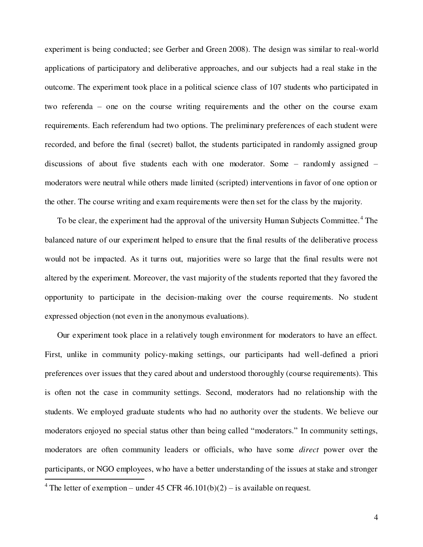experiment is being conducted; see Gerber and Green 2008). The design was similar to real-world applications of participatory and deliberative approaches, and our subjects had a real stake in the outcome. The experiment took place in a political science class of 107 students who participated in two referenda – one on the course writing requirements and the other on the course exam requirements. Each referendum had two options. The preliminary preferences of each student were recorded, and before the final (secret) ballot, the students participated in randomly assigned group discussions of about five students each with one moderator. Some – randomly assigned – moderators were neutral while others made limited (scripted) interventions in favor of one option or the other. The course writing and exam requirements were then set for the class by the majority.

To be clear, the experiment had the approval of the university Human Subjects Committee.<sup>4</sup> The balanced nature of our experiment helped to ensure that the final results of the deliberative process would not be impacted. As it turns out, majorities were so large that the final results were not altered by the experiment. Moreover, the vast majority of the students reported that they favored the opportunity to participate in the decision-making over the course requirements. No student expressed objection (not even in the anonymous evaluations).

Our experiment took place in a relatively tough environment for moderators to have an effect. First, unlike in community policy-making settings, our participants had well-defined a priori preferences over issues that they cared about and understood thoroughly (course requirements). This is often not the case in community settings. Second, moderators had no relationship with the students. We employed graduate students who had no authority over the students. We believe our moderators enjoyed no special status other than being called "moderators." In community settings, moderators are often community leaders or officials, who have some *direct* power over the participants, or NGO employees, who have a better understanding of the issues at stake and stronger

The letter of exemption – under 45 CFR 46.101(b)(2) – is available on request.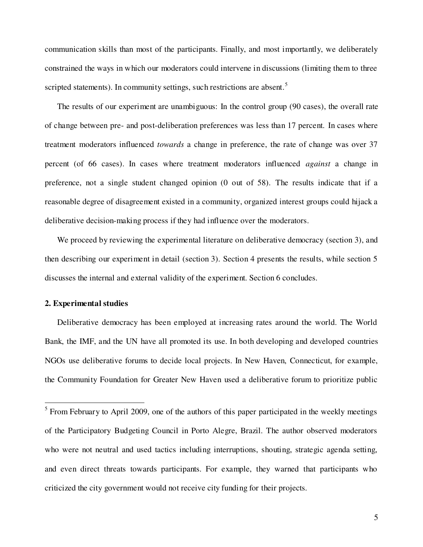communication skills than most of the participants. Finally, and most importantly, we deliberately constrained the ways in which our moderators could intervene in discussions (limiting them to three scripted statements). In community settings, such restrictions are absent.<sup>5</sup>

The results of our experiment are unambiguous: In the control group (90 cases), the overall rate of change between pre- and post-deliberation preferences was less than 17 percent. In cases where treatment moderators influenced *towards* a change in preference, the rate of change was over 37 percent (of 66 cases). In cases where treatment moderators influenced *against* a change in preference, not a single student changed opinion (0 out of 58). The results indicate that if a reasonable degree of disagreement existed in a community, organized interest groups could hijack a deliberative decision-making process if they had influence over the moderators.

We proceed by reviewing the experimental literature on deliberative democracy (section 3), and then describing our experiment in detail (section 3). Section 4 presents the results, while section 5 discusses the internal and external validity of the experiment. Section 6 concludes.

# **2. Experimental studies**

Deliberative democracy has been employed at increasing rates around the world. The World Bank, the IMF, and the UN have all promoted its use. In both developing and developed countries NGOs use deliberative forums to decide local projects. In New Haven, Connecticut, for example, the Community Foundation for Greater New Haven used a deliberative forum to prioritize public

<sup>&</sup>lt;sup>5</sup> From February to April 2009, one of the authors of this paper participated in the weekly meetings of the Participatory Budgeting Council in Porto Alegre, Brazil. The author observed moderators who were not neutral and used tactics including interruptions, shouting, strategic agenda setting, and even direct threats towards participants. For example, they warned that participants who criticized the city government would not receive city funding for their projects.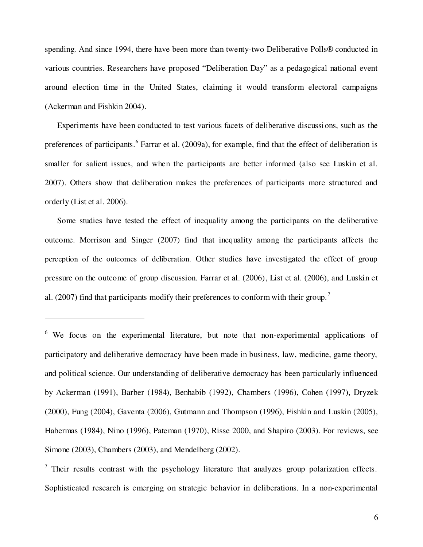spending. And since 1994, there have been more than twenty-two Deliberative Polls® conducted in various countries. Researchers have proposed "Deliberation Day" as a pedagogical national event around election time in the United States, claiming it would transform electoral campaigns (Ackerman and Fishkin 2004).

Experiments have been conducted to test various facets of deliberative discussions, such as the preferences of participants.<sup>6</sup> Farrar et al. (2009a), for example, find that the effect of deliberation is smaller for salient issues, and when the participants are better informed (also see Luskin et al. 2007). Others show that deliberation makes the preferences of participants more structured and orderly (List et al. 2006).

Some studies have tested the effect of inequality among the participants on the deliberative outcome. Morrison and Singer (2007) find that inequality among the participants affects the perception of the outcomes of deliberation. Other studies have investigated the effect of group pressure on the outcome of group discussion. Farrar et al. (2006), List et al. (2006), and Luskin et al. (2007) find that participants modify their preferences to conform with their group.<sup>7</sup>

<u>.</u>

<sup>&</sup>lt;sup>6</sup> We focus on the experimental literature, but note that non-experimental applications of participatory and deliberative democracy have been made in business, law, medicine, game theory, and political science. Our understanding of deliberative democracy has been particularly influenced by Ackerman (1991), Barber (1984), Benhabib (1992), Chambers (1996), Cohen (1997), Dryzek (2000), Fung (2004), Gaventa (2006), Gutmann and Thompson (1996), Fishkin and Luskin (2005), Habermas (1984), Nino (1996), Pateman (1970), Risse 2000, and Shapiro (2003). For reviews, see Simone (2003), Chambers (2003), and Mendelberg (2002).

 $<sup>7</sup>$  Their results contrast with the psychology literature that analyzes group polarization effects.</sup> Sophisticated research is emerging on strategic behavior in deliberations. In a non-experimental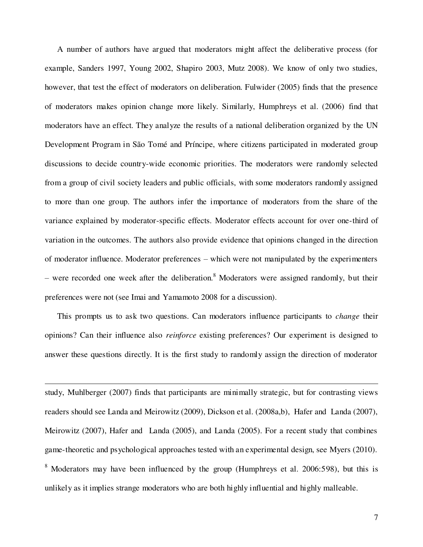A number of authors have argued that moderators might affect the deliberative process (for example, Sanders 1997, Young 2002, Shapiro 2003, Mutz 2008). We know of only two studies, however, that test the effect of moderators on deliberation. Fulwider (2005) finds that the presence of moderators makes opinion change more likely. Similarly, Humphreys et al. (2006) find that moderators have an effect. They analyze the results of a national deliberation organized by the UN Development Program in São Tomé and Príncipe, where citizens participated in moderated group discussions to decide country-wide economic priorities. The moderators were randomly selected from a group of civil society leaders and public officials, with some moderators randomly assigned to more than one group. The authors infer the importance of moderators from the share of the variance explained by moderator-specific effects. Moderator effects account for over one-third of variation in the outcomes. The authors also provide evidence that opinions changed in the direction of moderator influence. Moderator preferences – which were not manipulated by the experimenters – were recorded one week after the deliberation.<sup>8</sup> Moderators were assigned randomly, but their preferences were not (see Imai and Yamamoto 2008 for a discussion).

This prompts us to ask two questions. Can moderators influence participants to *change* their opinions? Can their influence also *reinforce* existing preferences? Our experiment is designed to answer these questions directly. It is the first study to randomly assign the direction of moderator

 $\overline{a}$ 

study, Muhlberger (2007) finds that participants are minimally strategic, but for contrasting views readers should see Landa and Meirowitz (2009), Dickson et al. (2008a,b), Hafer and Landa (2007), Meirowitz (2007), Hafer and Landa (2005), and Landa (2005). For a recent study that combines game-theoretic and psychological approaches tested with an experimental design, see Myers (2010).  $8$  Moderators may have been influenced by the group (Humphreys et al. 2006:598), but this is unlikely as it implies strange moderators who are both highly influential and highly malleable.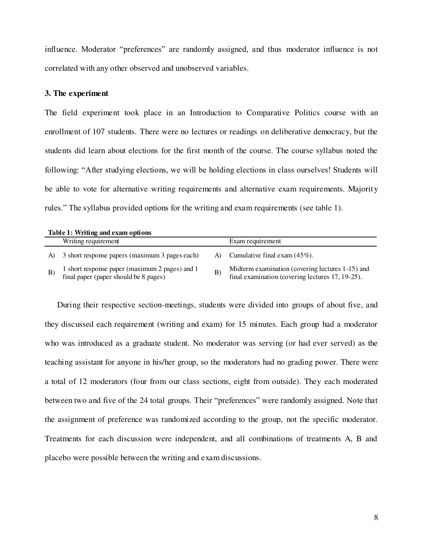influence. Moderator "preferences" are randomly assigned, and thus moderator influence is not correlated with any other observed and unobserved variables.

# **3. The experiment**

The field experiment took place in an Introduction to Comparative Politics course with an enrollment of 107 students. There were no lectures or readings on deliberative democracy, but the students did learn about elections for the first month of the course. The course syllabus noted the following: "After studying elections, we will be holding elections in class ourselves! Students will be able to vote for alternative writing requirements and alternative exam requirements. Majority rules." The syllabus provided options for the writing and exam requirements (see table 1).

|  |  | Table 1: Writing and exam options |  |
|--|--|-----------------------------------|--|
|--|--|-----------------------------------|--|

|    | Writing requirement                                                                  |    | Exam requirement                                                                                     |
|----|--------------------------------------------------------------------------------------|----|------------------------------------------------------------------------------------------------------|
|    | A) 3 short response papers (maximum 3 pages each)                                    |    | A) Cumulative final exam $(45\%)$ .                                                                  |
| B) | 1 short response paper (maximum 2 pages) and 1 final paper (paper should be 8 pages) | B) | Midterm examination (covering lectures 1-15) and<br>final examination (covering lectures 17, 19-25). |

During their respective section-meetings, students were divided into groups of about five, and they discussed each requirement (writing and exam) for 15 minutes. Each group had a moderator who was introduced as a graduate student. No moderator was serving (or had ever served) as the teaching assistant for anyone in his/her group, so the moderators had no grading power. There were a total of 12 moderators (four from our class sections, eight from outside). They each moderated between two and five of the 24 total groups. Their "preferences" were randomly assigned. Note that the assignment of preference was randomized according to the group, not the specific moderator. Treatments for each discussion were independent, and all combinations of treatments A, B and placebo were possible between the writing and exam discussions.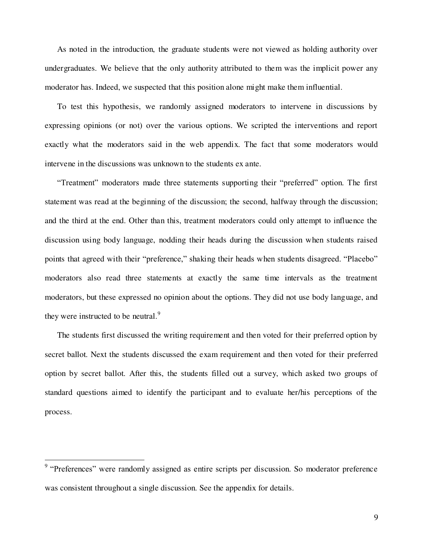As noted in the introduction, the graduate students were not viewed as holding authority over undergraduates. We believe that the only authority attributed to them was the implicit power any moderator has. Indeed, we suspected that this position alone might make them influential.

To test this hypothesis, we randomly assigned moderators to intervene in discussions by expressing opinions (or not) over the various options. We scripted the interventions and report exactly what the moderators said in the web appendix. The fact that some moderators would intervene in the discussions was unknown to the students ex ante.

"Treatment" moderators made three statements supporting their "preferred" option. The first statement was read at the beginning of the discussion; the second, halfway through the discussion; and the third at the end. Other than this, treatment moderators could only attempt to influence the discussion using body language, nodding their heads during the discussion when students raised points that agreed with their "preference," shaking their heads when students disagreed. "Placebo" moderators also read three statements at exactly the same time intervals as the treatment moderators, but these expressed no opinion about the options. They did not use body language, and they were instructed to be neutral.<sup>9</sup>

The students first discussed the writing requirement and then voted for their preferred option by secret ballot. Next the students discussed the exam requirement and then voted for their preferred option by secret ballot. After this, the students filled out a survey, which asked two groups of standard questions aimed to identify the participant and to evaluate her/his perceptions of the process.

<sup>&</sup>lt;sup>9</sup> "Preferences" were randomly assigned as entire scripts per discussion. So moderator preference was consistent throughout a single discussion. See the appendix for details.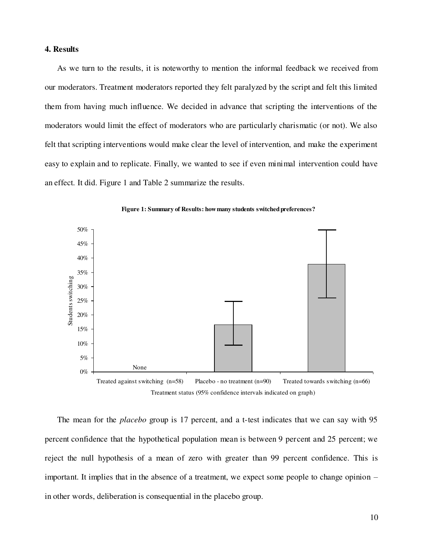# **4. Results**

As we turn to the results, it is noteworthy to mention the informal feedback we received from our moderators. Treatment moderators reported they felt paralyzed by the script and felt this limited them from having much influence. We decided in advance that scripting the interventions of the moderators would limit the effect of moderators who are particularly charismatic (or not). We also felt that scripting interventions would make clear the level of intervention, and make the experiment easy to explain and to replicate. Finally, we wanted to see if even minimal intervention could have an effect. It did. Figure 1 and Table 2 summarize the results.



**Figure 1: Summary of Results: how many students switched preferences?**

The mean for the *placebo* group is 17 percent, and a t-test indicates that we can say with 95 percent confidence that the hypothetical population mean is between 9 percent and 25 percent; we reject the null hypothesis of a mean of zero with greater than 99 percent confidence. This is important. It implies that in the absence of a treatment, we expect some people to change opinion – in other words, deliberation is consequential in the placebo group.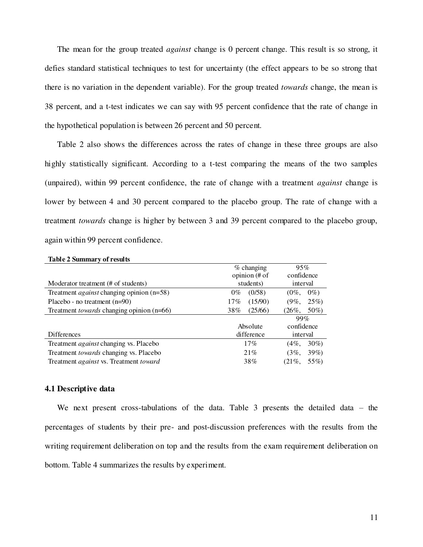The mean for the group treated *against* change is 0 percent change. This result is so strong, it defies standard statistical techniques to test for uncertainty (the effect appears to be so strong that there is no variation in the dependent variable). For the group treated *towards* change, the mean is 38 percent, and a t-test indicates we can say with 95 percent confidence that the rate of change in the hypothetical population is between 26 percent and 50 percent.

Table 2 also shows the differences across the rates of change in these three groups are also highly statistically significant. According to a t-test comparing the means of the two samples (unpaired), within 99 percent confidence, the rate of change with a treatment *against* change is lower by between 4 and 30 percent compared to the placebo group. The rate of change with a treatment *towards* change is higher by between 3 and 39 percent compared to the placebo group, again within 99 percent confidence.

|                                                  |               | $%$ changing | 95%        |         |  |  |  |  |
|--------------------------------------------------|---------------|--------------|------------|---------|--|--|--|--|
|                                                  | opinion (# of |              |            |         |  |  |  |  |
| Moderator treatment (# of students)              | students)     | interval     |            |         |  |  |  |  |
| Treatment <i>against</i> changing opinion (n=58) | $0\%$         | (0/58)       | $(0\%$     | $0\%$   |  |  |  |  |
| Placebo - no treatment $(n=90)$                  | 17%           | (15/90)      | $(9\%,$    | $25\%)$ |  |  |  |  |
| Treatment <i>towards</i> changing opinion (n=66) | 38%           | (25/66)      | $(26\%,$   | 50%)    |  |  |  |  |
|                                                  |               |              |            |         |  |  |  |  |
|                                                  |               |              | 99%        |         |  |  |  |  |
|                                                  |               | Absolute     | confidence |         |  |  |  |  |
| <b>Differences</b>                               |               | difference   | interval   |         |  |  |  |  |
| Treatment <i>against</i> changing vs. Placebo    |               | 17%          | $(4\%.$    | $30\%)$ |  |  |  |  |
| Treatment towards changing vs. Placebo           |               | 21%          | $(3\%$ .   | $39\%)$ |  |  |  |  |

#### **Table 2 Summary of results**

#### **4.1 Descriptive data**

We next present cross-tabulations of the data. Table 3 presents the detailed data – the percentages of students by their pre- and post-discussion preferences with the results from the writing requirement deliberation on top and the results from the exam requirement deliberation on bottom. Table 4 summarizes the results by experiment.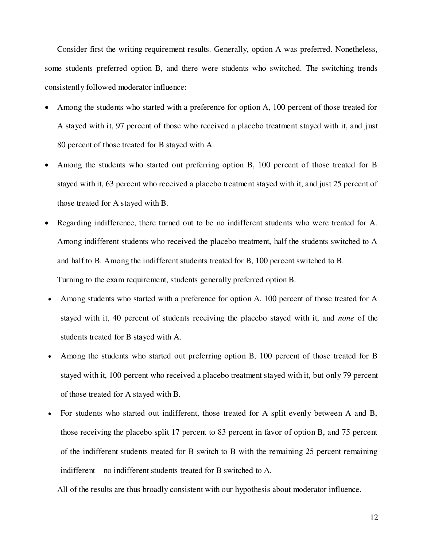Consider first the writing requirement results. Generally, option A was preferred. Nonetheless, some students preferred option B, and there were students who switched. The switching trends consistently followed moderator influence:

- Among the students who started with a preference for option A, 100 percent of those treated for A stayed with it, 97 percent of those who received a placebo treatment stayed with it, and just 80 percent of those treated for B stayed with A.
- Among the students who started out preferring option B, 100 percent of those treated for B stayed with it, 63 percent who received a placebo treatment stayed with it, and just 25 percent of those treated for A stayed with B.
- Regarding indifference, there turned out to be no indifferent students who were treated for A. Among indifferent students who received the placebo treatment, half the students switched to A and half to B. Among the indifferent students treated for B, 100 percent switched to B. Turning to the exam requirement, students generally preferred option B.
- Among students who started with a preference for option A, 100 percent of those treated for A stayed with it, 40 percent of students receiving the placebo stayed with it, and *none* of the students treated for B stayed with A.
- Among the students who started out preferring option B, 100 percent of those treated for B stayed with it, 100 percent who received a placebo treatment stayed with it, but only 79 percent of those treated for A stayed with B.
- For students who started out indifferent, those treated for A split evenly between A and B, those receiving the placebo split 17 percent to 83 percent in favor of option B, and 75 percent of the indifferent students treated for B switch to B with the remaining 25 percent remaining indifferent – no indifferent students treated for B switched to A.

All of the results are thus broadly consistent with our hypothesis about moderator influence.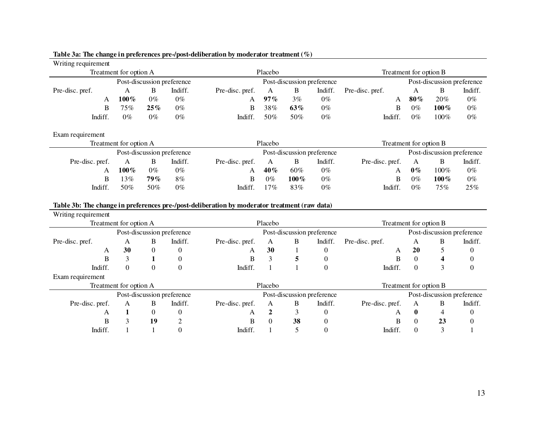| Writing requirement                                                                          |                        |                            |                            |                 |         |                            |                            |                            |                        |         |         |  |
|----------------------------------------------------------------------------------------------|------------------------|----------------------------|----------------------------|-----------------|---------|----------------------------|----------------------------|----------------------------|------------------------|---------|---------|--|
| Treatment for option A                                                                       |                        | Placebo                    |                            |                 |         | Treatment for option B     |                            |                            |                        |         |         |  |
|                                                                                              |                        | Post-discussion preference |                            |                 |         |                            | Post-discussion preference |                            |                        |         |         |  |
| Pre-disc. pref.                                                                              | A                      | B                          | Indiff.                    | Pre-disc. pref. | A       | B                          | Indiff.                    | Pre-disc. pref.            | A                      | B       | Indiff. |  |
| A                                                                                            | 100%                   | $0\%$                      | $0\%$                      | A               | $97\%$  | $3\%$                      | $0\%$                      | A                          | $80\%$                 | 20%     | $0\%$   |  |
| B                                                                                            | 75%                    | $25\%$                     | $0\%$                      | B               | 38%     | 63%                        | $0\%$                      | B                          | $0\%$                  | $100\%$ | $0\%$   |  |
| Indiff.                                                                                      | $0\%$                  | $0\%$                      | $0\%$                      | Indiff.         | 50%     | 50%                        | $0\%$                      | Indiff.                    | $0\%$                  | 100%    | $0\%$   |  |
| Exam requirement                                                                             |                        |                            |                            |                 |         |                            |                            |                            |                        |         |         |  |
|                                                                                              | Treatment for option A |                            |                            |                 | Placebo |                            |                            |                            | Treatment for option B |         |         |  |
|                                                                                              |                        |                            | Post-discussion preference |                 |         | Post-discussion preference |                            | Post-discussion preference |                        |         |         |  |
| Pre-disc. pref.                                                                              | A                      | B                          | Indiff.                    | Pre-disc. pref. | A       | B                          | Indiff.                    | Pre-disc. pref.            | A                      | B       | Indiff. |  |
| A                                                                                            | $100\%$                | $0\%$                      | $0\%$                      | A               | $40\%$  | 60%                        | $0\%$                      | A                          | $0\%$                  | 100%    | $0\%$   |  |
| B                                                                                            | 13%                    | <b>79%</b>                 | $8\%$                      | B               | $0\%$   | $100\%$                    | $0\%$                      | B                          | $0\%$                  | $100\%$ | $0\%$   |  |
| Indiff.                                                                                      | 50%                    | 50%                        | $0\%$                      | Indiff.         | $17\%$  | 83%                        | $0\%$                      | Indiff.                    | $0\%$                  | 75%     | 25%     |  |
| Table 3b: The change in preferences pre-/post-deliberation by moderator treatment (raw data) |                        |                            |                            |                 |         |                            |                            |                            |                        |         |         |  |

#### **Table 3a: The change in preferences pre-/post-deliberation by moderator treatment (%)**

#### **Table 3b: The change in preferences pre-/post-deliberation by moderator treatment (raw data)**

| Writing requirement    |                            |                            |                            |                 |                        |                            |          |                        |                            |   |         |
|------------------------|----------------------------|----------------------------|----------------------------|-----------------|------------------------|----------------------------|----------|------------------------|----------------------------|---|---------|
| Treatment for option A | Placebo                    |                            |                            |                 | Treatment for option B |                            |          |                        |                            |   |         |
|                        |                            | Post-discussion preference |                            |                 |                        | Post-discussion preference |          |                        |                            |   |         |
| Pre-disc. pref.        | А                          | B                          | Indiff.                    | Pre-disc. pref. | A                      | B                          | Indiff.  | Pre-disc. pref.        | A                          | В | Indiff. |
| А                      | 30                         | $\theta$                   | 0                          | А               | 30                     |                            | $\Omega$ | A                      | 20                         |   | 0       |
| B                      |                            |                            | $\theta$                   | B               | 3                      | 5                          |          | B                      | $\theta$                   |   | 0       |
| Indiff.                | $\theta$                   | 0                          | $\theta$                   | Indiff.         |                        |                            |          | Indiff.                | $\Omega$                   |   | 0       |
| Exam requirement       |                            |                            |                            |                 |                        |                            |          |                        |                            |   |         |
|                        | Treatment for option A     |                            |                            |                 | Placebo                |                            |          | Treatment for option B |                            |   |         |
|                        | Post-discussion preference |                            | Post-discussion preference |                 |                        |                            |          |                        | Post-discussion preference |   |         |
| Pre-disc. pref.        | A                          | B                          | Indiff.                    | Pre-disc. pref. | A                      | B                          | Indiff.  | Pre-disc. pref.        | А                          | В | Indiff. |

| $\therefore$ pref. A B |  | Indiff. | Pre-disc. pref. A B |                     | Indiff. | Pre-disc. pref. A | $\mathbf{B}$          | Indi                                            |
|------------------------|--|---------|---------------------|---------------------|---------|-------------------|-----------------------|-------------------------------------------------|
| $\mathbf{A}$ 1 0       |  |         | A 2 3 0             |                     |         | $\mathbf{A}$ 0    |                       | $\begin{array}{ccc} 4 & 0 \\ 0 & 0 \end{array}$ |
| B 3 19                 |  |         |                     | B 0 38              |         |                   | B 0 23                | $\overline{0}$                                  |
| Indiff. $1 \t 1$       |  |         |                     | Indiff. $1 \quad 5$ |         |                   | Indiff. $0 \t 3 \t 1$ |                                                 |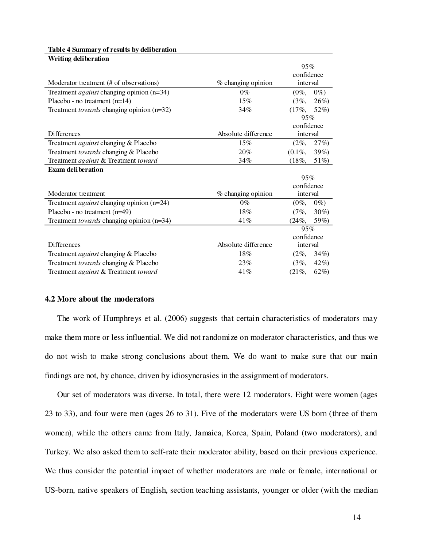# **Table 4 Summary of results by deliberation**

|                                                  |                     | 95%        |         |
|--------------------------------------------------|---------------------|------------|---------|
|                                                  |                     | confidence |         |
| Moderator treatment (# of observations)          | % changing opinion  | interval   |         |
| Treatment <i>against</i> changing opinion (n=34) | $0\%$               | $(0\%,$    | $0\%$   |
| Placebo - no treatment $(n=14)$                  | $15\%$              | $(3\%,$    | $26\%$  |
| Treatment towards changing opinion (n=32)        | 34%                 | $(17\%,$   | 52%)    |
|                                                  |                     | 95%        |         |
|                                                  |                     | confidence |         |
| <b>Differences</b>                               | Absolute difference | interval   |         |
| Treatment <i>against</i> changing & Placebo      | 15%                 | $(2\%,$    | $27\%)$ |
| Treatment towards changing & Placebo             | 20%                 | $(0.1\%,$  | $39\%)$ |
| Treatment against & Treatment toward             | 34%                 | $(18\%,$   | 51%)    |
| <b>Exam deliberation</b>                         |                     |            |         |
|                                                  |                     | 95%        |         |
|                                                  |                     | confidence |         |
| Moderator treatment                              | % changing opinion  | interval   |         |
| Treatment <i>against</i> changing opinion (n=24) | $0\%$               | $(0\%$ ,   | $0\%$   |
| Placebo - no treatment $(n=49)$                  | 18%                 | $(7\%,$    | $30\%)$ |
| Treatment <i>towards</i> changing opinion (n=34) | 41%                 | $(24\%,$   | 59%)    |
|                                                  |                     | 95%        |         |
|                                                  |                     | confidence |         |
| <b>Differences</b>                               | Absolute difference | interval   |         |
| Treatment <i>against</i> changing & Placebo      | 18%                 | $(2\%,$    | $34\%$  |
| Treatment towards changing & Placebo             | 23%                 | $(3\%,$    | $42\%)$ |
| Treatment against & Treatment toward             | 41%                 | $(21\%,$   | 62%)    |

### **4.2 More about the moderators**

The work of Humphreys et al. (2006) suggests that certain characteristics of moderators may make them more or less influential. We did not randomize on moderator characteristics, and thus we do not wish to make strong conclusions about them. We do want to make sure that our main findings are not, by chance, driven by idiosyncrasies in the assignment of moderators.

Our set of moderators was diverse. In total, there were 12 moderators. Eight were women (ages 23 to 33), and four were men (ages 26 to 31). Five of the moderators were US born (three of them women), while the others came from Italy, Jamaica, Korea, Spain, Poland (two moderators), and Turkey. We also asked them to self-rate their moderator ability, based on their previous experience. We thus consider the potential impact of whether moderators are male or female, international or US-born, native speakers of English, section teaching assistants, younger or older (with the median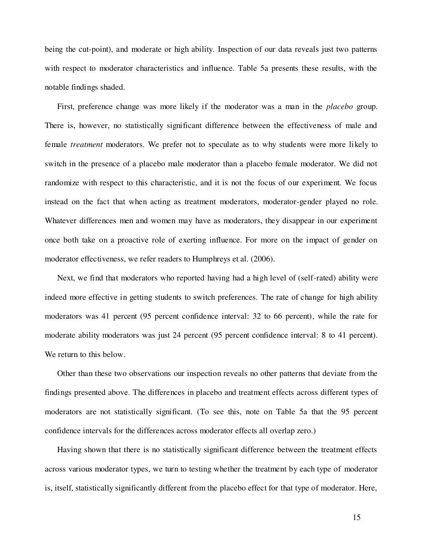being the cut-point), and moderate or high ability. Inspection of our data reveals just two patterns with respect to moderator characteristics and influence. Table 5a presents these results, with the notable findings shaded.

First, preference change was more likely if the moderator was a man in the *placebo* group. There is, however, no statistically significant difference between the effectiveness of male and female *treatment* moderators. We prefer not to speculate as to why students were more likely to switch in the presence of a placebo male moderator than a placebo female moderator. We did not randomize with respect to this characteristic, and it is not the focus of our experiment. We focus instead on the fact that when acting as treatment moderators, moderator-gender played no role. Whatever differences men and women may have as moderators, they disappear in our experiment once both take on a proactive role of exerting influence. For more on the impact of gender on moderator effectiveness, we refer readers to Humphreys et al. (2006).

Next, we find that moderators who reported having had a high level of (self-rated) ability were indeed more effective in getting students to switch preferences. The rate of change for high ability moderators was 41 percent (95 percent confidence interval: 32 to 66 percent), while the rate for moderate ability moderators was just 24 percent (95 percent confidence interval: 8 to 41 percent). We return to this below.

Other than these two observations our inspection reveals no other patterns that deviate from the findings presented above. The differences in placebo and treatment effects across different types of moderators are not statistically significant. (To see this, note on Table 5a that the 95 percent confidence intervals for the differences across moderator effects all overlap zero.)

Having shown that there is no statistically significant difference between the treatment effects across various moderator types, we turn to testing whether the treatment by each type of moderator is, itself, statistically significantly different from the placebo effect for that type of moderator. Here,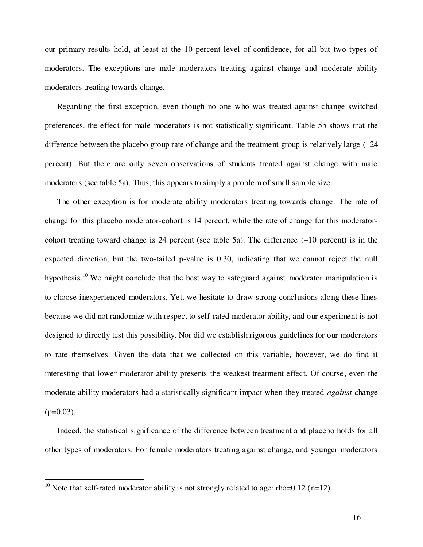our primary results hold, at least at the 10 percent level of confidence, for all but two types of moderators. The exceptions are male moderators treating against change and moderate ability moderators treating towards change.

Regarding the first exception, even though no one who was treated against change switched preferences, the effect for male moderators is not statistically significant. Table 5b shows that the difference between the placebo group rate of change and the treatment group is relatively large (–24 percent). But there are only seven observations of students treated against change with male moderators (see table 5a). Thus, this appears to simply a problem of small sample size.

The other exception is for moderate ability moderators treating towards change. The rate of change for this placebo moderator-cohort is 14 percent, while the rate of change for this moderatorcohort treating toward change is 24 percent (see table 5a). The difference (–10 percent) is in the expected direction, but the two-tailed p-value is 0.30, indicating that we cannot reject the null hypothesis.<sup>10</sup> We might conclude that the best way to safeguard against moderator manipulation is to choose inexperienced moderators. Yet, we hesitate to draw strong conclusions along these lines because we did not randomize with respect to self-rated moderator ability, and our experiment is not designed to directly test this possibility. Nor did we establish rigorous guidelines for our moderators to rate themselves. Given the data that we collected on this variable, however, we do find it interesting that lower moderator ability presents the weakest treatment effect. Of course, even the moderate ability moderators had a statistically significant impact when they treated *against* change  $(p=0.03)$ .

Indeed, the statistical significance of the difference between treatment and placebo holds for all other types of moderators. For female moderators treating against change, and younger moderators

<u>.</u>

<sup>&</sup>lt;sup>10</sup> Note that self-rated moderator ability is not strongly related to age: rho=0.12 (n=12).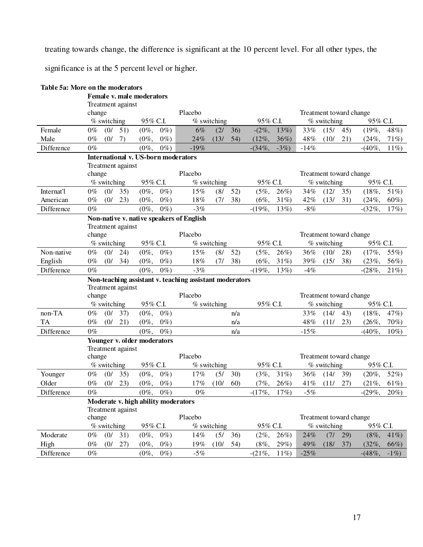treating towards change, the difference is significant at the 10 percent level. For all other types, the

significance is at the 5 percent level or higher.

| Table 5a: More on the moderators                        |                                          |               |                   |                                     |       |                                            |               |     |            |                           |                         |               |          |           |         |
|---------------------------------------------------------|------------------------------------------|---------------|-------------------|-------------------------------------|-------|--------------------------------------------|---------------|-----|------------|---------------------------|-------------------------|---------------|----------|-----------|---------|
|                                                         |                                          |               |                   | Female v. male moderators           |       |                                            |               |     |            |                           |                         |               |          |           |         |
|                                                         |                                          |               | Treatment against |                                     |       |                                            |               |     |            |                           |                         |               |          |           |         |
|                                                         | change                                   |               |                   |                                     |       | Placebo                                    |               |     |            |                           | Treatment toward change |               |          |           |         |
|                                                         |                                          | % switching   |                   | 95% C.I.                            |       | $%$ switching                              |               |     |            | 95% C.I.<br>$%$ switching |                         |               |          | 95% C.I.  |         |
| Female                                                  | $0\%$                                    | (0/           | 51)               | $(0\%,$                             | $0\%$ | 6%                                         | (2)           | 36) | $-(2\%,$   | 13%)                      | 33%                     | (15/          | 45)      | $(19\%,$  | 48%)    |
| Male                                                    | $0\%$                                    | (0/           | 7)                | $(0\%,$                             | $0\%$ | 24%                                        | (13/          | 54) | $(12\%,$   | $36\%$                    | 48%                     | (10/          | 21)      | $(24\%,$  | $71\%)$ |
| Difference                                              | $0\%$                                    |               |                   | $(0\%,$                             | $0\%$ | $-19%$                                     |               |     | $-(34%$    | $-3\%$                    | $-14%$                  |               |          | $-(40\%,$ | $11\%$  |
|                                                         |                                          |               |                   |                                     |       | <b>International v. US-born moderators</b> |               |     |            |                           |                         |               |          |           |         |
|                                                         |                                          |               | Treatment against |                                     |       |                                            |               |     |            |                           |                         |               |          |           |         |
|                                                         | change                                   |               |                   |                                     |       | Placebo                                    |               |     |            |                           | Treatment toward change |               |          |           |         |
|                                                         |                                          | $%$ switching |                   | 95% C.I.                            |       |                                            | $%$ switching |     | 95% C.I.   |                           |                         | % switching   |          | 95% C.I.  |         |
| Internat'l                                              | $0\%$                                    | (0/           | 35)               | $(0\%,$                             | $0\%$ | 15%                                        | (8/           | 52) | $(5\%,$    | $26\%$                    | 34%                     | (12/          | 35)      | $(18\%,$  | 51%)    |
| American                                                | $0\%$                                    | (0)           | 23)               | $(0\%,$                             | $0\%$ | 18%                                        | (7)           | 38) | $(6\%,$    | $31\%$                    | 42%                     | (13/          | 31)      | (24%      | $60\%$  |
| Difference                                              | $0\%$                                    |               |                   | $(0\%,$                             | $0\%$ | $-3%$                                      |               |     | $-(19\%,$  | 13%)                      | $-8\%$                  |               |          | $-(32\%,$ | 17%     |
|                                                         | Non-native v. native speakers of English |               |                   |                                     |       |                                            |               |     |            |                           |                         |               |          |           |         |
|                                                         |                                          |               | Treatment against |                                     |       |                                            |               |     |            |                           |                         |               |          |           |         |
|                                                         | change                                   |               |                   |                                     |       | Placebo                                    |               |     |            |                           | Treatment toward change |               |          |           |         |
|                                                         | % switching                              |               |                   | 95% C.I.                            |       | $%$ switching                              |               |     | 95% C.I.   |                           | % switching             |               | 95% C.I. |           |         |
| Non-native                                              | $0\%$                                    | (0/           | 24)               | $(0\%,$                             | $0\%$ | 15%                                        | (8/           | 52) | $(5\%,$    | $26\%$                    | 36%                     | (10/          | 28)      | $(17\%,$  | 55%)    |
| English                                                 | $0\%$                                    | (0/           | 34)               | $(0\%,$                             | $0\%$ | 18%                                        | (7)           | 38) | $(6\%,$    | $31\%$                    | 39%                     | (15/          | 38)      | $(23\%,$  | 56%)    |
| Difference                                              | $0\%$                                    |               |                   | $(0\%,$                             | $0\%$ | $-3%$                                      |               |     | $- (19\%,$ | 13%)                      | $-4%$                   |               |          | $-(28\%$  | $21\%$  |
| Non-teaching assistant v. teaching assistant moderators |                                          |               |                   |                                     |       |                                            |               |     |            |                           |                         |               |          |           |         |
|                                                         |                                          |               | Treatment against |                                     |       |                                            |               |     |            |                           |                         |               |          |           |         |
|                                                         | change                                   |               |                   |                                     |       | Placebo                                    |               |     |            |                           | Treatment toward change |               |          |           |         |
|                                                         |                                          | $%$ switching |                   | 95% C.I.                            |       |                                            | $%$ switching |     | 95% C.I.   |                           | % switching             |               |          | 95% C.I.  |         |
| non-TA                                                  | $0\%$                                    | (0/           | 37)               | $(0\%,$                             | $0\%$ |                                            |               | n/a |            |                           | 33%                     | (14/          | 43)      | $(18\%,$  | 47%     |
| <b>TA</b>                                               | $0\%$                                    | (0/           | 21)               | $(0\%,$                             | $0\%$ |                                            |               | n/a |            |                           | 48%                     | (11/          | 23)      | $(26\%,$  | 70%)    |
| Difference                                              | $0\%$                                    |               |                   | $(0\%,$                             | $0\%$ |                                            |               | n/a |            |                           | $-15%$                  |               |          | $-(40\%,$ | $10\%$  |
|                                                         |                                          |               |                   | Younger v. older moderators         |       |                                            |               |     |            |                           |                         |               |          |           |         |
|                                                         |                                          |               | Treatment against |                                     |       |                                            |               |     |            |                           |                         |               |          |           |         |
|                                                         | change                                   |               |                   |                                     |       | Placebo                                    |               |     |            |                           | Treatment toward change |               |          |           |         |
|                                                         |                                          | $%$ switching |                   | 95% C.I.                            |       |                                            | $%$ switching |     | 95% C.I.   |                           |                         | $%$ switching |          | 95% C.I.  |         |
| Younger                                                 | $0\%$                                    | (0/           | 35)               | $(0\%,$                             | $0\%$ | 17%                                        | (5/           | 30) | $(3\%,$    | $31\%$                    | 36%                     | (14/          | 39)      | $(20\%,$  | 52%)    |
| Older                                                   | $0\%$                                    | (0/           | 23)               | $(0\%,$                             | $0\%$ | 17%                                        | (10/          | 60  | (7%        | $26\%$                    | 41%                     | (11/          | 27)      | $(21\%,$  | $61\%$  |
| Difference                                              | $0\%$                                    |               |                   | $(0\%,$                             | $0\%$ | $0\%$                                      |               |     | $-(17\%,$  | $17\%$                    | $-5%$                   |               |          | $-(29\%,$ | 20%)    |
|                                                         |                                          |               |                   | Moderate v. high ability moderators |       |                                            |               |     |            |                           |                         |               |          |           |         |
|                                                         |                                          |               | Treatment against |                                     |       |                                            |               |     |            |                           |                         |               |          |           |         |
|                                                         | change                                   |               |                   |                                     |       | Placebo                                    |               |     |            |                           | Treatment toward change |               |          |           |         |
|                                                         |                                          | % switching   |                   | 95% C.I.                            |       |                                            | % switching   |     | 95% C.I.   |                           |                         | % switching   |          | 95% C.I.  |         |
| Moderate                                                | $0\%$                                    | (0/           | 31)               | $(0\%,$                             | $0\%$ | 14%                                        | (5/           | 36) | $(2\%,$    | 26%)                      | 24%                     | (7/           | 29)      | $(8\%,$   | $41\%$  |
| High                                                    | $0\%$                                    | (0/           | 27)               | $(0\%,$                             | $0\%$ | 19%                                        | (10/          | 54) | $(8\%,$    | 29%)                      | 49%                     | (18/          | 37)      | $(32\%,$  | 66%)    |
| Difference                                              | $0\%$                                    |               |                   | $(0\%,$                             | $0\%$ | $-5%$                                      |               |     | $-(21\%,$  | $11\%$                    | $-25%$                  |               |          | $-(48\%,$ | $-1\%$  |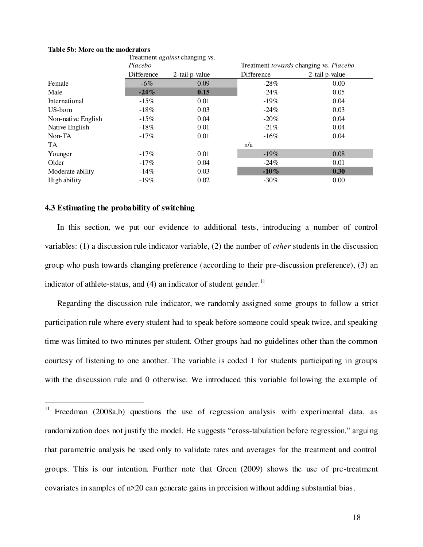#### **Table 5b: More on the moderators**

Treatment *against* changing vs.

|                    | Placebo    | Treatment towards changing vs. Placebo |            |                |  |  |  |
|--------------------|------------|----------------------------------------|------------|----------------|--|--|--|
|                    | Difference | 2-tail p-value                         | Difference | 2-tail p-value |  |  |  |
| Female             | $-6\%$     | 0.09                                   | $-28\%$    | 0.00           |  |  |  |
| Male               | $-24%$     | 0.15                                   | $-24\%$    | 0.05           |  |  |  |
| International      | $-15\%$    | 0.01                                   | $-19\%$    | 0.04           |  |  |  |
| US-born            | $-18\%$    | 0.03                                   | $-24\%$    | 0.03           |  |  |  |
| Non-native English | $-15\%$    | 0.04                                   | $-20\%$    | 0.04           |  |  |  |
| Native English     | $-18\%$    | 0.01                                   | $-21\%$    | 0.04           |  |  |  |
| Non-TA             | $-17\%$    | 0.01                                   | $-16\%$    | 0.04           |  |  |  |
| TA.                |            |                                        | n/a        |                |  |  |  |
| Younger            | $-17\%$    | 0.01                                   | $-19\%$    | 0.08           |  |  |  |
| Older              | $-17\%$    | 0.04                                   | $-24\%$    | 0.01           |  |  |  |
| Moderate ability   | $-14\%$    | 0.03                                   | $-10\%$    | 0.30           |  |  |  |
| High ability       | $-19\%$    | 0.02                                   | $-30\%$    | 0.00           |  |  |  |

# **4.3 Estimating the probability of switching**

<u>.</u>

In this section, we put our evidence to additional tests, introducing a number of control variables: (1) a discussion rule indicator variable, (2) the number of *other* students in the discussion group who push towards changing preference (according to their pre-discussion preference), (3) an indicator of athlete-status, and  $(4)$  an indicator of student gender.<sup>11</sup>

Regarding the discussion rule indicator, we randomly assigned some groups to follow a strict participation rule where every student had to speak before someone could speak twice, and speaking time was limited to two minutes per student. Other groups had no guidelines other than the common courtesy of listening to one another. The variable is coded 1 for students participating in groups with the discussion rule and 0 otherwise. We introduced this variable following the example of

<sup>&</sup>lt;sup>11</sup> Freedman (2008a,b) questions the use of regression analysis with experimental data, as randomization does not justify the model. He suggests "cross-tabulation before regression," arguing that parametric analysis be used only to validate rates and averages for the treatment and control groups. This is our intention. Further note that Green (2009) shows the use of pre-treatment covariates in samples of n>20 can generate gains in precision without adding substantial bias.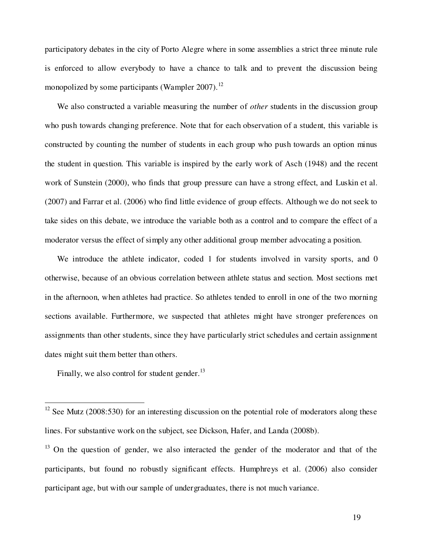participatory debates in the city of Porto Alegre where in some assemblies a strict three minute rule is enforced to allow everybody to have a chance to talk and to prevent the discussion being monopolized by some participants (Wampler 2007).<sup>12</sup>

We also constructed a variable measuring the number of *other* students in the discussion group who push towards changing preference. Note that for each observation of a student, this variable is constructed by counting the number of students in each group who push towards an option minus the student in question. This variable is inspired by the early work of Asch (1948) and the recent work of Sunstein (2000), who finds that group pressure can have a strong effect, and Luskin et al. (2007) and Farrar et al. (2006) who find little evidence of group effects. Although we do not seek to take sides on this debate, we introduce the variable both as a control and to compare the effect of a moderator versus the effect of simply any other additional group member advocating a position.

We introduce the athlete indicator, coded 1 for students involved in varsity sports, and 0 otherwise, because of an obvious correlation between athlete status and section. Most sections met in the afternoon, when athletes had practice. So athletes tended to enroll in one of the two morning sections available. Furthermore, we suspected that athletes might have stronger preferences on assignments than other students, since they have particularly strict schedules and certain assignment dates might suit them better than others.

Finally, we also control for student gender. $^{13}$ 

 $\overline{a}$ 

 $12$  See Mutz (2008:530) for an interesting discussion on the potential role of moderators along these lines. For substantive work on the subject, see Dickson, Hafer, and Landa (2008b).

 $13$  On the question of gender, we also interacted the gender of the moderator and that of the participants, but found no robustly significant effects. Humphreys et al. (2006) also consider participant age, but with our sample of undergraduates, there is not much variance.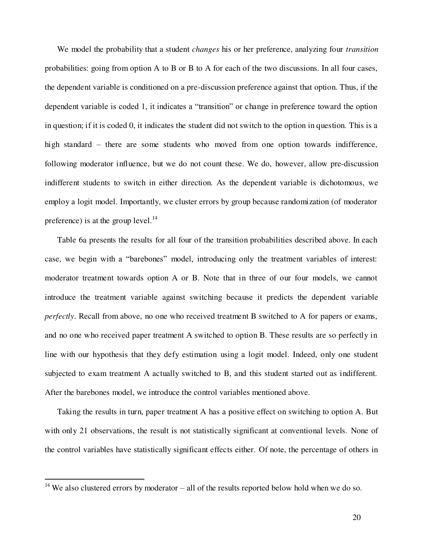We model the probability that a student *changes* his or her preference, analyzing four *transition*  probabilities: going from option A to B or B to A for each of the two discussions. In all four cases, the dependent variable is conditioned on a pre-discussion preference against that option. Thus, if the dependent variable is coded 1, it indicates a "transition" or change in preference toward the option in question; if it is coded 0, it indicates the student did not switch to the option in question. This is a high standard – there are some students who moved from one option towards indifference, following moderator influence, but we do not count these. We do, however, allow pre-discussion indifferent students to switch in either direction. As the dependent variable is dichotomous, we employ a logit model. Importantly, we cluster errors by group because randomization (of moderator preference) is at the group level. $^{14}$ 

Table 6a presents the results for all four of the transition probabilities described above. In each case, we begin with a "barebones" model, introducing only the treatment variables of interest: moderator treatment towards option A or B. Note that in three of our four models, we cannot introduce the treatment variable against switching because it predicts the dependent variable *perfectly*. Recall from above, no one who received treatment B switched to A for papers or exams, and no one who received paper treatment A switched to option B. These results are so perfectly in line with our hypothesis that they defy estimation using a logit model. Indeed, only one student subjected to exam treatment A actually switched to B, and this student started out as indifferent. After the barebones model, we introduce the control variables mentioned above.

Taking the results in turn, paper treatment A has a positive effect on switching to option A. But with only 21 observations, the result is not statistically significant at conventional levels. None of the control variables have statistically significant effects either. Of note, the percentage of others in

 $\overline{a}$ 

 $14$  We also clustered errors by moderator – all of the results reported below hold when we do so.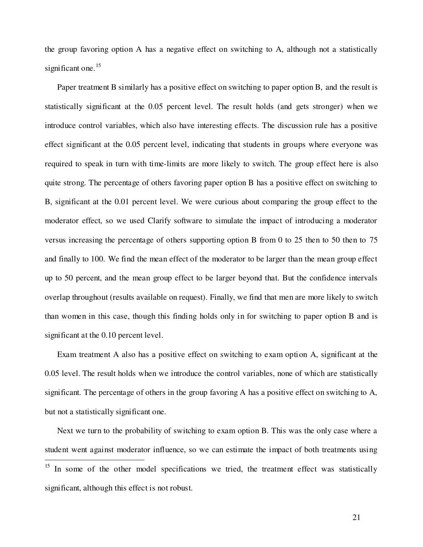the group favoring option A has a negative effect on switching to A, although not a statistically significant one. $15$ 

Paper treatment B similarly has a positive effect on switching to paper option B, and the result is statistically significant at the 0.05 percent level. The result holds (and gets stronger) when we introduce control variables, which also have interesting effects. The discussion rule has a positive effect significant at the 0.05 percent level, indicating that students in groups where everyone was required to speak in turn with time-limits are more likely to switch. The group effect here is also quite strong. The percentage of others favoring paper option B has a positive effect on switching to B, significant at the 0.01 percent level. We were curious about comparing the group effect to the moderator effect, so we used Clarify software to simulate the impact of introducing a moderator versus increasing the percentage of others supporting option B from 0 to 25 then to 50 then to 75 and finally to 100. We find the mean effect of the moderator to be larger than the mean group effect up to 50 percent, and the mean group effect to be larger beyond that. But the confidence intervals overlap throughout (results available on request). Finally, we find that men are more likely to switch than women in this case, though this finding holds only in for switching to paper option B and is significant at the 0.10 percent level.

Exam treatment A also has a positive effect on switching to exam option A, significant at the 0.05 level. The result holds when we introduce the control variables, none of which are statistically significant. The percentage of others in the group favoring A has a positive effect on switching to A, but not a statistically significant one.

Next we turn to the probability of switching to exam option B. This was the only case where a student went against moderator influence, so we can estimate the impact of both treatments using <u>.</u>  $15$  In some of the other model specifications we tried, the treatment effect was statistically significant, although this effect is not robust.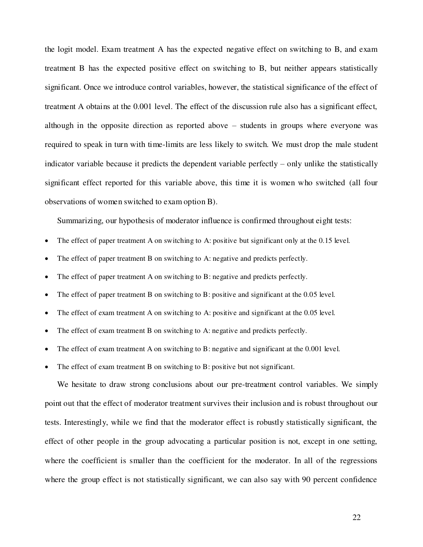the logit model. Exam treatment A has the expected negative effect on switching to B, and exam treatment B has the expected positive effect on switching to B, but neither appears statistically significant. Once we introduce control variables, however, the statistical significance of the effect of treatment A obtains at the 0.001 level. The effect of the discussion rule also has a significant effect, although in the opposite direction as reported above – students in groups where everyone was required to speak in turn with time-limits are less likely to switch. We must drop the male student indicator variable because it predicts the dependent variable perfectly – only unlike the statistically significant effect reported for this variable above, this time it is women who switched (all four observations of women switched to exam option B).

Summarizing, our hypothesis of moderator influence is confirmed throughout eight tests:

- The effect of paper treatment A on switching to A: positive but significant only at the 0.15 level.
- The effect of paper treatment B on switching to A: negative and predicts perfectly.
- The effect of paper treatment A on switching to B: negative and predicts perfectly.
- The effect of paper treatment B on switching to B: positive and significant at the 0.05 level.
- The effect of exam treatment A on switching to A: positive and significant at the 0.05 level.
- The effect of exam treatment B on switching to A: negative and predicts perfectly.
- The effect of exam treatment A on switching to B: negative and significant at the 0.001 level.
- The effect of exam treatment B on switching to B: positive but not significant.

We hesitate to draw strong conclusions about our pre-treatment control variables. We simply point out that the effect of moderator treatment survives their inclusion and is robust throughout our tests. Interestingly, while we find that the moderator effect is robustly statistically significant, the effect of other people in the group advocating a particular position is not, except in one setting, where the coefficient is smaller than the coefficient for the moderator. In all of the regressions where the group effect is not statistically significant, we can also say with 90 percent confidence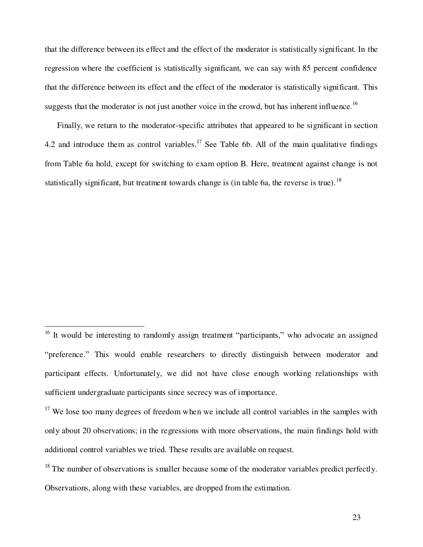that the difference between its effect and the effect of the moderator is statistically significant. In the regression where the coefficient is statistically significant, we can say with 85 percent confidence that the difference between its effect and the effect of the moderator is statistically significant. This suggests that the moderator is not just another voice in the crowd, but has inherent influence.<sup>16</sup>

Finally, we return to the moderator-specific attributes that appeared to be significant in section 4.2 and introduce them as control variables.<sup>17</sup> See Table 6b. All of the main qualitative findings from Table 6a hold, except for switching to exam option B. Here, treatment against change is not statistically significant, but treatment towards change is (in table 6a, the reverse is true). <sup>18</sup>

<u>.</u>

<sup>&</sup>lt;sup>16</sup> It would be interesting to randomly assign treatment "participants," who advocate an assigned "preference." This would enable researchers to directly distinguish between moderator and participant effects. Unfortunately, we did not have close enough working relationships with sufficient undergraduate participants since secrecy was of importance.

 $17$  We lose too many degrees of freedom when we include all control variables in the samples with only about 20 observations; in the regressions with more observations, the main findings hold with additional control variables we tried. These results are available on request.

 $18$  The number of observations is smaller because some of the moderator variables predict perfectly. Observations, along with these variables, are dropped from the estimation.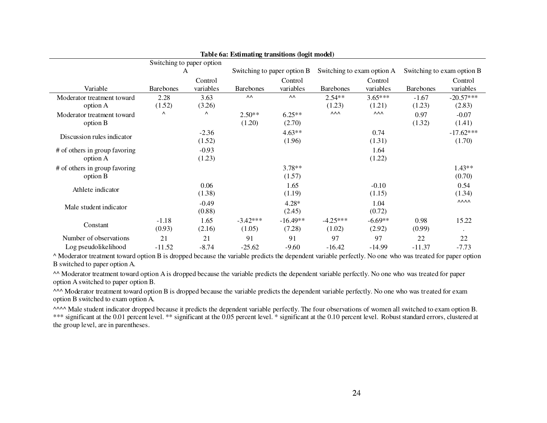| Table oa: Esumading transitions (logit model)  |                   |                           |                      |                             |                            |                      |                   |                            |  |  |  |
|------------------------------------------------|-------------------|---------------------------|----------------------|-----------------------------|----------------------------|----------------------|-------------------|----------------------------|--|--|--|
|                                                | A                 | Switching to paper option |                      | Switching to paper option B | Switching to exam option A |                      |                   | Switching to exam option B |  |  |  |
| Variable                                       | <b>Barebones</b>  | Control<br>variables      | <b>Barebones</b>     | Control<br>variables        | <b>Barebones</b>           | Control<br>variables | <b>Barebones</b>  | Control<br>variables       |  |  |  |
| Moderator treatment toward<br>option A         | 2.28<br>(1.52)    | 3.63<br>(3.26)            | $\wedge\wedge$       | $\Lambda\Lambda$            | $2.54**$<br>(1.23)         | $3.65***$<br>(1.21)  | $-1.67$<br>(1.23) | $-20.57***$<br>(2.83)      |  |  |  |
| Moderator treatment toward<br>option B         | Λ                 | Λ                         | $2.50**$<br>(1.20)   | $6.25**$<br>(2.70)          | <b>AAA</b>                 | $\wedge\wedge\wedge$ | 0.97<br>(1.32)    | $-0.07$<br>(1.41)          |  |  |  |
| Discussion rules indicator                     |                   | $-2.36$<br>(1.52)         |                      | $4.63**$<br>(1.96)          |                            | 0.74<br>(1.31)       |                   | $-17.62***$<br>(1.70)      |  |  |  |
| # of others in group favoring<br>option A      |                   | $-0.93$<br>(1.23)         |                      |                             |                            | 1.64<br>(1.22)       |                   |                            |  |  |  |
| # of others in group favoring<br>option B      |                   |                           |                      | $3.78**$<br>(1.57)          |                            |                      |                   | $1.43**$<br>(0.70)         |  |  |  |
| Athlete indicator                              |                   | 0.06<br>(1.38)            |                      | 1.65<br>(1.19)              |                            | $-0.10$<br>(1.15)    |                   | 0.54<br>(1.34)             |  |  |  |
| Male student indicator                         |                   | $-0.49$<br>(0.88)         |                      | $4.28*$<br>(2.45)           |                            | 1.04<br>(0.72)       |                   | <b>AAAA</b>                |  |  |  |
| Constant                                       | $-1.18$<br>(0.93) | 1.65<br>(2.16)            | $-3.42***$<br>(1.05) | $-16.49**$<br>(7.28)        | $-4.25***$<br>(1.02)       | $-6.69**$<br>(2.92)  | 0.98<br>(0.99)    | 15.22                      |  |  |  |
| Number of observations<br>Log pseudolikelihood | 21<br>$-11.52$    | 21<br>$-8.74$             | 91<br>$-25.62$       | 91<br>$-9.60$               | 97<br>$-16.42$             | 97<br>$-14.99$       | 22<br>$-11.37$    | 22<br>$-7.73$              |  |  |  |

**Table 6a: Estimating transitions (logit model)** 

^ Moderator treatment toward option B is dropped because the variable predicts the dependent variable perfectly. No one who was treated for paper option B switched to paper option A.

^^ Moderator treatment toward option A is dropped because the variable predicts the dependent variable perfectly. No one who was treated for paper option A switched to paper option B.

^^^ Moderator treatment toward option B is dropped because the variable predicts the dependent variable perfectly. No one who was treated for exam option B switched to exam option A.

^^^^ Male student indicator dropped because it predicts the dependent variable perfectly. The four observations of women all switched to exam option B. \*\*\* significant at the 0.01 percent level. \*\* significant at the 0.05 percent level. \* significant at the 0.10 percent level. Robust standard errors, clustered at the group level, are in parentheses.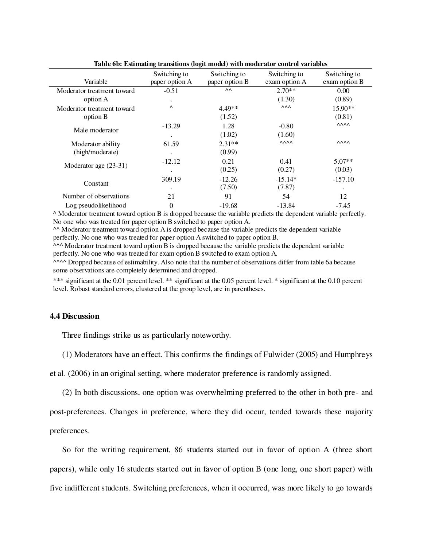| Variable                   | Switching to<br>paper option A | Switching to<br>paper option B | Switching to<br>exam option A | Switching to<br>exam option B |
|----------------------------|--------------------------------|--------------------------------|-------------------------------|-------------------------------|
| Moderator treatment toward | $-0.51$                        | $\wedge\wedge$                 | $2.70**$                      | 0.00                          |
| option A                   | $\bullet$                      |                                | (1.30)                        | (0.89)                        |
| Moderator treatment toward | Λ                              | $4.49**$                       | $\wedge\wedge\wedge$          | 15.90**                       |
| option B                   |                                | (1.52)                         |                               | (0.81)                        |
|                            | $-13.29$                       | 1.28                           | $-0.80$                       | <b>AAAA</b>                   |
| Male moderator             | $\bullet$                      | (1.02)                         | (1.60)                        |                               |
| Moderator ability          | 61.59                          | $2.31**$                       | $\wedge \wedge \wedge \wedge$ | $\wedge \wedge \wedge \wedge$ |
| (high/moderate)            | $\ddot{\phantom{0}}$           | (0.99)                         |                               |                               |
|                            | $-12.12$                       | 0.21                           | 0.41                          | $5.07**$                      |
| Moderator age (23-31)      | $\bullet$                      | (0.25)                         | (0.27)                        | (0.03)                        |
|                            | 309.19                         | $-12.26$                       | $-15.14*$                     | $-157.10$                     |
| Constant                   | $\bullet$                      | (7.50)                         | (7.87)                        | $\bullet$                     |
| Number of observations     | 21                             | 91                             | 54                            | 12                            |
| Log pseudolikelihood       | $\overline{0}$                 | $-19.68$                       | $-13.84$                      | $-7.45$                       |

^ Moderator treatment toward option B is dropped because the variable predicts the dependent variable perfectly. No one who was treated for paper option B switched to paper option A.

^^ Moderator treatment toward option A is dropped because the variable predicts the dependent variable perfectly. No one who was treated for paper option A switched to paper option B.

^^^ Moderator treatment toward option B is dropped because the variable predicts the dependent variable perfectly. No one who was treated for exam option B switched to exam option A.

^^^^ Dropped because of estimability. Also note that the number of observations differ from table 6a because some observations are completely determined and dropped.

\*\*\* significant at the 0.01 percent level. \*\* significant at the 0.05 percent level. \* significant at the 0.10 percent level. Robust standard errors, clustered at the group level, are in parentheses.

# **4.4 Discussion**

Three findings strike us as particularly noteworthy.

(1) Moderators have an effect. This confirms the findings of Fulwider (2005) and Humphreys

et al. (2006) in an original setting, where moderator preference is randomly assigned.

(2) In both discussions, one option was overwhelming preferred to the other in both pre- and

post-preferences. Changes in preference, where they did occur, tended towards these majority

preferences.

So for the writing requirement, 86 students started out in favor of option A (three short

papers), while only 16 students started out in favor of option B (one long, one short paper) with

five indifferent students. Switching preferences, when it occurred, was more likely to go towards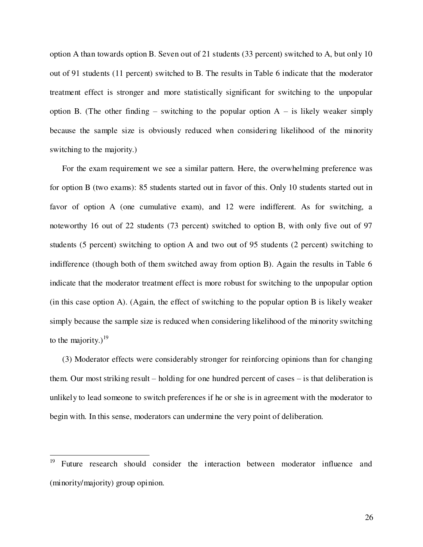option A than towards option B. Seven out of 21 students (33 percent) switched to A, but only 10 out of 91 students (11 percent) switched to B. The results in Table 6 indicate that the moderator treatment effect is stronger and more statistically significant for switching to the unpopular option B. (The other finding – switching to the popular option  $A -$  is likely weaker simply because the sample size is obviously reduced when considering likelihood of the minority switching to the majority.)

For the exam requirement we see a similar pattern. Here, the overwhelming preference was for option B (two exams): 85 students started out in favor of this. Only 10 students started out in favor of option A (one cumulative exam), and 12 were indifferent. As for switching, a noteworthy 16 out of 22 students (73 percent) switched to option B, with only five out of 97 students (5 percent) switching to option A and two out of 95 students (2 percent) switching to indifference (though both of them switched away from option B). Again the results in Table 6 indicate that the moderator treatment effect is more robust for switching to the unpopular option (in this case option A). (Again, the effect of switching to the popular option B is likely weaker simply because the sample size is reduced when considering likelihood of the minority switching to the majority.)<sup>19</sup>

(3) Moderator effects were considerably stronger for reinforcing opinions than for changing them. Our most striking result – holding for one hundred percent of cases – is that deliberation is unlikely to lead someone to switch preferences if he or she is in agreement with the moderator to begin with. In this sense, moderators can undermine the very point of deliberation.

 $\overline{a}$ 

<sup>&</sup>lt;sup>19</sup> Future research should consider the interaction between moderator influence and (minority/majority) group opinion.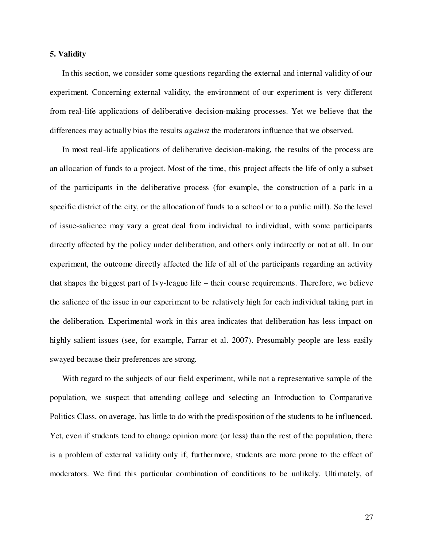# **5. Validity**

In this section, we consider some questions regarding the external and internal validity of our experiment. Concerning external validity, the environment of our experiment is very different from real-life applications of deliberative decision-making processes. Yet we believe that the differences may actually bias the results *against* the moderators influence that we observed.

In most real-life applications of deliberative decision-making, the results of the process are an allocation of funds to a project. Most of the time, this project affects the life of only a subset of the participants in the deliberative process (for example, the construction of a park in a specific district of the city, or the allocation of funds to a school or to a public mill). So the level of issue-salience may vary a great deal from individual to individual, with some participants directly affected by the policy under deliberation, and others only indirectly or not at all. In our experiment, the outcome directly affected the life of all of the participants regarding an activity that shapes the biggest part of Ivy-league life – their course requirements. Therefore, we believe the salience of the issue in our experiment to be relatively high for each individual taking part in the deliberation. Experimental work in this area indicates that deliberation has less impact on highly salient issues (see, for example, Farrar et al. 2007). Presumably people are less easily swayed because their preferences are strong.

With regard to the subjects of our field experiment, while not a representative sample of the population, we suspect that attending college and selecting an Introduction to Comparative Politics Class, on average, has little to do with the predisposition of the students to be influenced. Yet, even if students tend to change opinion more (or less) than the rest of the population, there is a problem of external validity only if, furthermore, students are more prone to the effect of moderators. We find this particular combination of conditions to be unlikely. Ultimately, of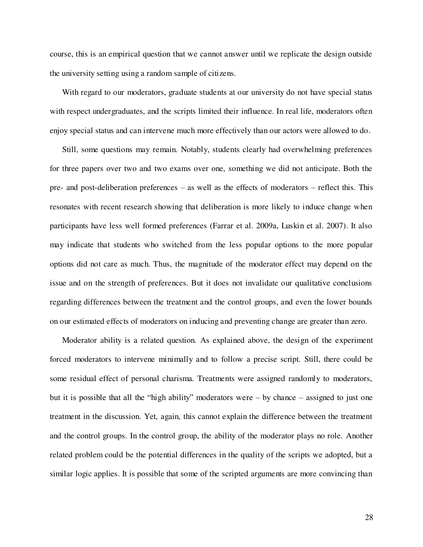course, this is an empirical question that we cannot answer until we replicate the design outside the university setting using a random sample of citizens.

With regard to our moderators, graduate students at our university do not have special status with respect undergraduates, and the scripts limited their influence. In real life, moderators often enjoy special status and can intervene much more effectively than our actors were allowed to do.

Still, some questions may remain. Notably, students clearly had overwhelming preferences for three papers over two and two exams over one, something we did not anticipate. Both the pre- and post-deliberation preferences – as well as the effects of moderators – reflect this. This resonates with recent research showing that deliberation is more likely to induce change when participants have less well formed preferences (Farrar et al. 2009a, Luskin et al. 2007). It also may indicate that students who switched from the less popular options to the more popular options did not care as much. Thus, the magnitude of the moderator effect may depend on the issue and on the strength of preferences. But it does not invalidate our qualitative conclusions regarding differences between the treatment and the control groups, and even the lower bounds on our estimated effects of moderators on inducing and preventing change are greater than zero.

Moderator ability is a related question. As explained above, the design of the experiment forced moderators to intervene minimally and to follow a precise script. Still, there could be some residual effect of personal charisma. Treatments were assigned randomly to moderators, but it is possible that all the "high ability" moderators were – by chance – assigned to just one treatment in the discussion. Yet, again, this cannot explain the difference between the treatment and the control groups. In the control group, the ability of the moderator plays no role. Another related problem could be the potential differences in the quality of the scripts we adopted, but a similar logic applies. It is possible that some of the scripted arguments are more convincing than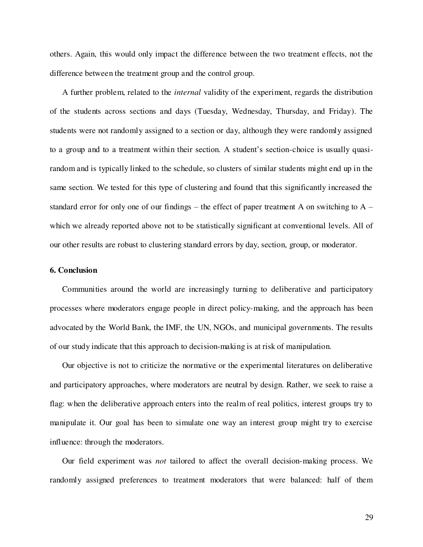others. Again, this would only impact the difference between the two treatment effects, not the difference between the treatment group and the control group.

A further problem, related to the *internal* validity of the experiment, regards the distribution of the students across sections and days (Tuesday, Wednesday, Thursday, and Friday). The students were not randomly assigned to a section or day, although they were randomly assigned to a group and to a treatment within their section. A student's section-choice is usually quasirandom and is typically linked to the schedule, so clusters of similar students might end up in the same section. We tested for this type of clustering and found that this significantly increased the standard error for only one of our findings – the effect of paper treatment A on switching to  $A$ which we already reported above not to be statistically significant at conventional levels. All of our other results are robust to clustering standard errors by day, section, group, or moderator.

# **6. Conclusion**

Communities around the world are increasingly turning to deliberative and participatory processes where moderators engage people in direct policy-making, and the approach has been advocated by the World Bank, the IMF, the UN, NGOs, and municipal governments. The results of our study indicate that this approach to decision-making is at risk of manipulation.

Our objective is not to criticize the normative or the experimental literatures on deliberative and participatory approaches, where moderators are neutral by design. Rather, we seek to raise a flag: when the deliberative approach enters into the realm of real politics, interest groups try to manipulate it. Our goal has been to simulate one way an interest group might try to exercise influence: through the moderators.

Our field experiment was *not* tailored to affect the overall decision-making process. We randomly assigned preferences to treatment moderators that were balanced: half of them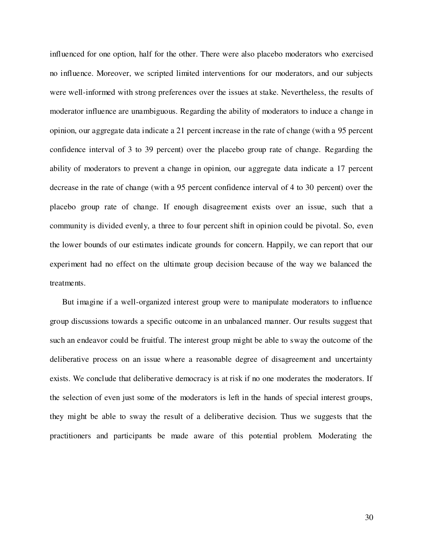influenced for one option, half for the other. There were also placebo moderators who exercised no influence. Moreover, we scripted limited interventions for our moderators, and our subjects were well-informed with strong preferences over the issues at stake. Nevertheless, the results of moderator influence are unambiguous. Regarding the ability of moderators to induce a change in opinion, our aggregate data indicate a 21 percent increase in the rate of change (with a 95 percent confidence interval of 3 to 39 percent) over the placebo group rate of change. Regarding the ability of moderators to prevent a change in opinion, our aggregate data indicate a 17 percent decrease in the rate of change (with a 95 percent confidence interval of 4 to 30 percent) over the placebo group rate of change. If enough disagreement exists over an issue, such that a community is divided evenly, a three to four percent shift in opinion could be pivotal. So, even the lower bounds of our estimates indicate grounds for concern. Happily, we can report that our experiment had no effect on the ultimate group decision because of the way we balanced the treatments.

But imagine if a well-organized interest group were to manipulate moderators to influence group discussions towards a specific outcome in an unbalanced manner. Our results suggest that such an endeavor could be fruitful. The interest group might be able to sway the outcome of the deliberative process on an issue where a reasonable degree of disagreement and uncertainty exists. We conclude that deliberative democracy is at risk if no one moderates the moderators. If the selection of even just some of the moderators is left in the hands of special interest groups, they might be able to sway the result of a deliberative decision. Thus we suggests that the practitioners and participants be made aware of this potential problem. Moderating the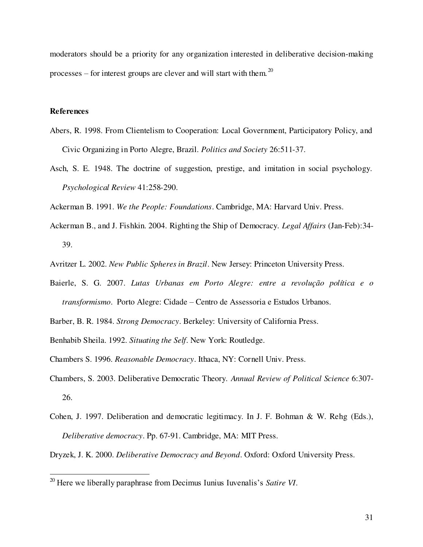moderators should be a priority for any organization interested in deliberative decision-making processes – for interest groups are clever and will start with them.<sup>20</sup>

# **References**

 $\overline{a}$ 

- Abers, R. 1998. From Clientelism to Cooperation: Local Government, Participatory Policy, and Civic Organizing in Porto Alegre, Brazil. *Politics and Society* 26:511-37.
- Asch, S. E. 1948. The doctrine of suggestion, prestige, and imitation in social psychology. *Psychological Review* 41:258-290.

Ackerman B. 1991. *We the People: Foundations*. Cambridge, MA: Harvard Univ. Press.

- Ackerman B., and J. Fishkin. 2004. Righting the Ship of Democracy. *Legal Affairs* (Jan-Feb):34- 39.
- Avritzer L. 2002. *New Public Spheres in Brazil*. New Jersey: Princeton University Press.
- Baierle, S. G. 2007. *Lutas Urbanas em Porto Alegre: entre a revolução política e o transformismo*. Porto Alegre: Cidade – Centro de Assessoria e Estudos Urbanos.
- Barber, B. R. 1984. *Strong Democracy*. Berkeley: University of California Press.
- Benhabib Sheila. 1992. *Situating the Self*. New York: Routledge.
- Chambers S. 1996. *Reasonable Democracy*. Ithaca, NY: Cornell Univ. Press.
- Chambers, S. 2003. Deliberative Democratic Theory. *Annual Review of Political Science* 6:307- 26.
- Cohen, J. 1997. Deliberation and democratic legitimacy. In J. F. Bohman & W. Rehg (Eds.), *Deliberative democracy*. Pp. 67-91. Cambridge, MA: MIT Press.

Dryzek, J. K. 2000. *Deliberative Democracy and Beyond*. Oxford: Oxford University Press.

<sup>20</sup> Here we liberally paraphrase from Decimus Iunius Iuvenalis's *Satire VI*.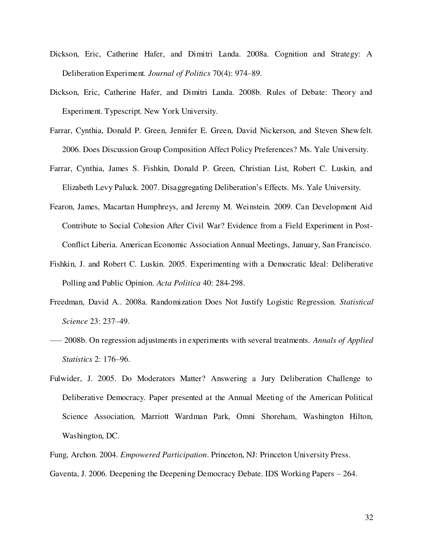- Dickson, Eric, Catherine Hafer, and Dimitri Landa. 2008a. Cognition and Strategy: A Deliberation Experiment. *Journal of Politics* 70(4): 974–89.
- Dickson, Eric, Catherine Hafer, and Dimitri Landa. 2008b. Rules of Debate: Theory and Experiment. Typescript. New York University.
- Farrar, Cynthia, Donald P. Green, Jennifer E. Green, David Nickerson, and Steven Shewfelt. 2006. Does Discussion Group Composition Affect Policy Preferences? Ms. Yale University.
- Farrar, Cynthia, James S. Fishkin, Donald P. Green, Christian List, Robert C. Luskin, and Elizabeth Levy Paluck. 2007. Disaggregating Deliberation's Effects. Ms. Yale University.
- Fearon, James, Macartan Humphreys, and Jeremy M. Weinstein. 2009. Can Development Aid Contribute to Social Cohesion After Civil War? Evidence from a Field Experiment in Post-Conflict Liberia. American Economic Association Annual Meetings, January, San Francisco.
- Fishkin, J. and Robert C. Luskin. 2005. Experimenting with a Democratic Ideal: Deliberative Polling and Public Opinion. *Acta Politica* 40: 284-298.
- Freedman, David A.. 2008a. Randomization Does Not Justify Logistic Regression. *Statistical Science* 23: 237–49.
- ––– 2008b. On regression adjustments in experiments with several treatments. *Annals of Applied Statistics* 2: 176–96.
- Fulwider, J. 2005. Do Moderators Matter? Answering a Jury Deliberation Challenge to Deliberative Democracy. Paper presented at the Annual Meeting of the American Political Science Association, Marriott Wardman Park, Omni Shoreham, Washington Hilton, Washington, DC.
- Fung, Archon. 2004. *Empowered Participation*. Princeton, NJ: Princeton University Press.
- Gaventa, J. 2006. Deepening the Deepening Democracy Debate. IDS Working Papers 264.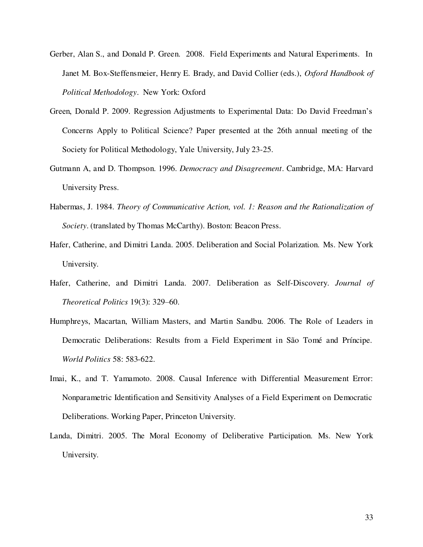- Gerber, Alan S., and Donald P. Green. 2008. Field Experiments and Natural Experiments. In Janet M. Box-Steffensmeier, Henry E. Brady, and David Collier (eds.), *Oxford Handbook of Political Methodology*. New York: Oxford
- Green, Donald P. 2009. Regression Adjustments to Experimental Data: Do David Freedman's Concerns Apply to Political Science? Paper presented at the 26th annual meeting of the Society for Political Methodology, Yale University, July 23-25.
- Gutmann A, and D. Thompson. 1996. *Democracy and Disagreement*. Cambridge, MA: Harvard University Press.
- Habermas, J. 1984. *Theory of Communicative Action, vol. 1: Reason and the Rationalization of Society*. (translated by Thomas McCarthy). Boston: Beacon Press.
- Hafer, Catherine, and Dimitri Landa. 2005. Deliberation and Social Polarization. Ms. New York University.
- Hafer, Catherine, and Dimitri Landa. 2007. Deliberation as Self-Discovery. *Journal of Theoretical Politics* 19(3): 329–60.
- Humphreys, Macartan, William Masters, and Martin Sandbu. 2006. The Role of Leaders in Democratic Deliberations: Results from a Field Experiment in São Tomé and Príncipe. *World Politics* 58: 583-622.
- Imai, K., and T. Yamamoto. 2008. Causal Inference with Differential Measurement Error: Nonparametric Identification and Sensitivity Analyses of a Field Experiment on Democratic Deliberations. Working Paper, Princeton University.
- Landa, Dimitri. 2005. The Moral Economy of Deliberative Participation. Ms. New York University.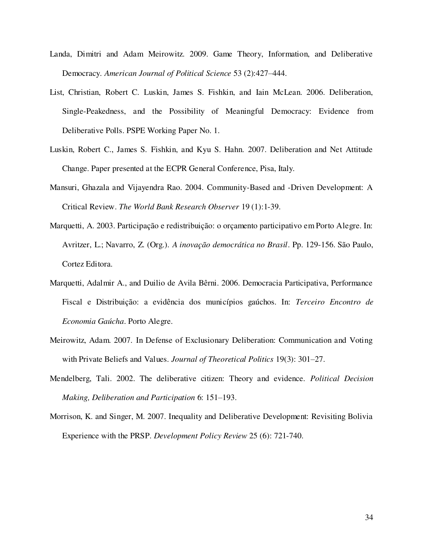- Landa, Dimitri and Adam Meirowitz. 2009. Game Theory, Information, and Deliberative Democracy. *American Journal of Political Science* 53 (2):427–444.
- List, Christian, Robert C. Luskin, James S. Fishkin, and Iain McLean. 2006. Deliberation, Single-Peakedness, and the Possibility of Meaningful Democracy: Evidence from Deliberative Polls. PSPE Working Paper No. 1.
- Luskin, Robert C., James S. Fishkin, and Kyu S. Hahn. 2007. Deliberation and Net Attitude Change. Paper presented at the ECPR General Conference, Pisa, Italy.
- Mansuri, Ghazala and Vijayendra Rao. 2004. Community-Based and -Driven Development: A Critical Review. *The World Bank Research Observer* 19 (1):1-39.
- Marquetti, A. 2003. Participação e redistribuição: o orçamento participativo em Porto Alegre. In: Avritzer, L.; Navarro, Z. (Org.). *A inovação democrática no Brasil*. Pp. 129-156. São Paulo, Cortez Editora.
- Marquetti, Adalmir A., and Duilio de Avila Bêrni. 2006. Democracia Participativa, Performance Fiscal e Distribuição: a evidência dos municípios gaúchos. In: *Terceiro Encontro de Economia Gaúcha*. Porto Alegre.
- Meirowitz, Adam. 2007. In Defense of Exclusionary Deliberation: Communication and Voting with Private Beliefs and Values. *Journal of Theoretical Politics* 19(3): 301–27.
- Mendelberg, Tali. 2002. The deliberative citizen: Theory and evidence. *Political Decision Making, Deliberation and Participation* 6: 151–193.
- Morrison, K. and Singer, M. 2007. Inequality and Deliberative Development: Revisiting Bolivia Experience with the PRSP. *Development Policy Review* 25 (6): 721-740.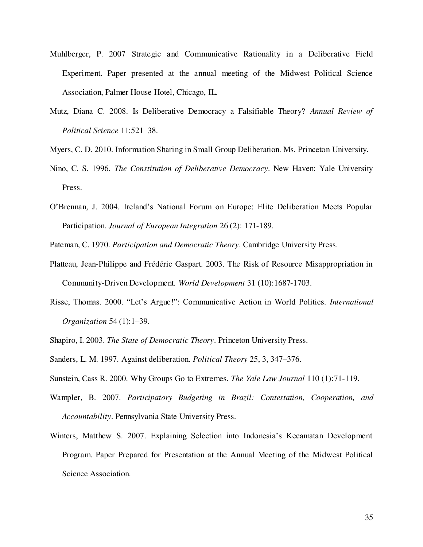- Muhlberger, P. 2007 Strategic and Communicative Rationality in a Deliberative Field Experiment. Paper presented at the annual meeting of the Midwest Political Science Association, Palmer House Hotel, Chicago, IL.
- Mutz, Diana C. 2008. Is Deliberative Democracy a Falsifiable Theory? *Annual Review of Political Science* 11:521–38.
- Myers, C. D. 2010. Information Sharing in Small Group Deliberation. Ms. Princeton University.
- Nino, C. S. 1996. *The Constitution of Deliberative Democracy*. New Haven: Yale University Press.
- O'Brennan, J. 2004. Ireland's National Forum on Europe: Elite Deliberation Meets Popular Participation. *Journal of European Integration* 26 (2): 171-189.

Pateman, C. 1970. *Participation and Democratic Theory*. Cambridge University Press.

- Platteau, Jean-Philippe and Frédéric Gaspart. 2003. The Risk of Resource Misappropriation in Community-Driven Development. *World Development* 31 (10):1687-1703.
- Risse, Thomas. 2000. "Let's Argue!": Communicative Action in World Politics. *International Organization* 54 (1):1–39.
- Shapiro, I. 2003. *The State of Democratic Theory*. Princeton University Press.
- Sanders, L. M. 1997. Against deliberation. *Political Theory* 25, 3, 347–376.
- Sunstein, Cass R. 2000. Why Groups Go to Extremes. *The Yale Law Journal* 110 (1):71-119.
- Wampler, B. 2007. *Participatory Budgeting in Brazil: Contestation, Cooperation, and Accountability*. Pennsylvania State University Press.
- Winters, Matthew S. 2007. Explaining Selection into Indonesia's Kecamatan Development Program. Paper Prepared for Presentation at the Annual Meeting of the Midwest Political Science Association.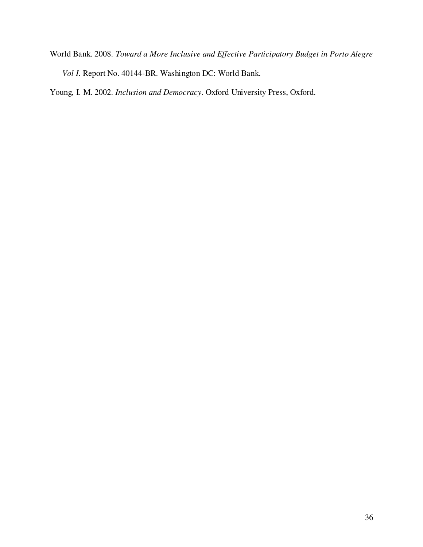World Bank. 2008. *Toward a More Inclusive and Effective Participatory Budget in Porto Alegre Vol I.* Report No. 40144-BR. Washington DC: World Bank.

Young, I. M. 2002. *Inclusion and Democracy*. Oxford University Press, Oxford.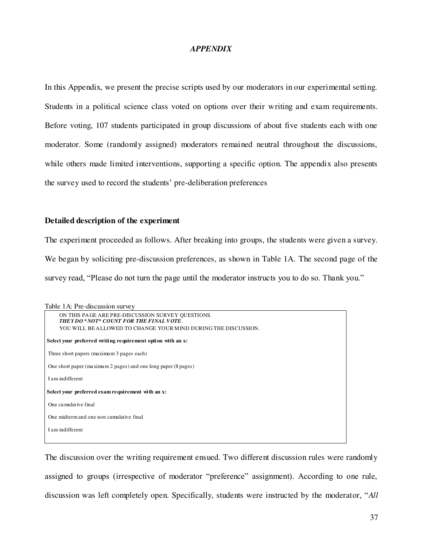# *APPENDIX*

In this Appendix, we present the precise scripts used by our moderators in our experimental setting. Students in a political science class voted on options over their writing and exam requirements. Before voting, 107 students participated in group discussions of about five students each with one moderator. Some (randomly assigned) moderators remained neutral throughout the discussions, while others made limited interventions, supporting a specific option. The appendix also presents the survey used to record the students' pre-deliberation preferences

# **Detailed description of the experiment**

The experiment proceeded as follows. After breaking into groups, the students were given a survey. We began by soliciting pre-discussion preferences, as shown in Table 1A. The second page of the survey read, "Please do not turn the page until the moderator instructs you to do so. Thank you."

|  |  |  |  | Table 1A: Pre-discussion survey |  |  |
|--|--|--|--|---------------------------------|--|--|
|--|--|--|--|---------------------------------|--|--|

| Table 171. The discussion survey                                                               |  |  |
|------------------------------------------------------------------------------------------------|--|--|
| ON THIS PAGE ARE PRE-DISCUSSION SURVEY QUESTIONS.<br>THE Y DO * NOT* COUNT FOR THE FINAL VOTE. |  |  |
| YOU WILL BE ALLOWED TO CHANGE YOUR MIND DURING THE DISCUSSION.                                 |  |  |
| Select your preferred writing requirement option with an x:                                    |  |  |
| Three short papers (maximum 3 pages each)                                                      |  |  |
| One short paper (maximum 2 pages) and one long paper (8 pages)                                 |  |  |
| I am indifferent                                                                               |  |  |
| Select your preferred exam requirement with an x:                                              |  |  |
| One cumulative final                                                                           |  |  |
| One midterm and one non cumulative final                                                       |  |  |
| I am indifferent                                                                               |  |  |
|                                                                                                |  |  |

The discussion over the writing requirement ensued. Two different discussion rules were randomly assigned to groups (irrespective of moderator "preference" assignment). According to one rule, discussion was left completely open. Specifically, students were instructed by the moderator, "*All*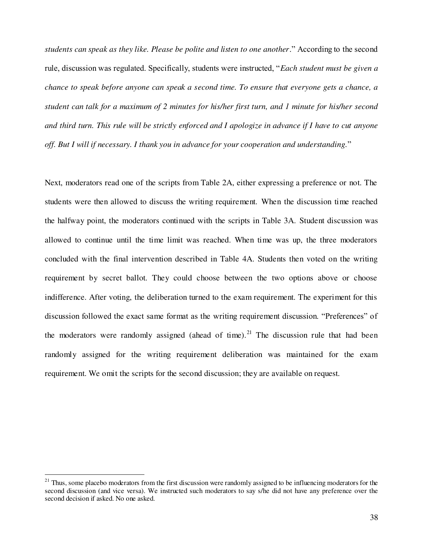*students can speak as they like. Please be polite and listen to one another*." According to the second rule, discussion was regulated. Specifically, students were instructed, "*Each student must be given a chance to speak before anyone can speak a second time. To ensure that everyone gets a chance, a student can talk for a maximum of 2 minutes for his/her first turn, and 1 minute for his/her second and third turn. This rule will be strictly enforced and I apologize in advance if I have to cut anyone off. But I will if necessary. I thank you in advance for your cooperation and understanding.*"

Next, moderators read one of the scripts from Table 2A, either expressing a preference or not. The students were then allowed to discuss the writing requirement. When the discussion time reached the halfway point, the moderators continued with the scripts in Table 3A. Student discussion was allowed to continue until the time limit was reached. When time was up, the three moderators concluded with the final intervention described in Table 4A. Students then voted on the writing requirement by secret ballot. They could choose between the two options above or choose indifference. After voting, the deliberation turned to the exam requirement. The experiment for this discussion followed the exact same format as the writing requirement discussion. "Preferences" of the moderators were randomly assigned (ahead of time).<sup>21</sup> The discussion rule that had been randomly assigned for the writing requirement deliberation was maintained for the exam requirement. We omit the scripts for the second discussion; they are available on request.

<u>.</u>

<sup>&</sup>lt;sup>21</sup> Thus, some placebo moderators from the first discussion were randomly assigned to be influencing moderators for the second discussion (and vice versa). We instructed such moderators to say s/he did not have any preference over the second decision if asked. No one asked.